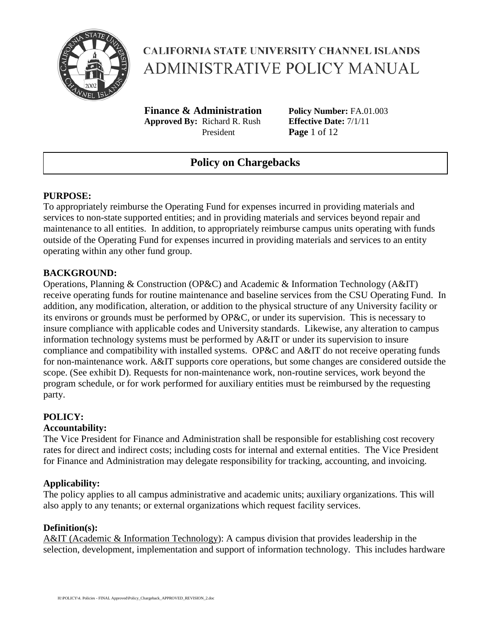

**Finance & Administration Policy Number:** FA.01.003 **Approved By:** Richard R. Rush **Effective Date:** 7/1/11 President **Page** 1 of 12

## **Policy on Chargebacks**

#### **PURPOSE:**

To appropriately reimburse the Operating Fund for expenses incurred in providing materials and services to non-state supported entities; and in providing materials and services beyond repair and maintenance to all entities. In addition, to appropriately reimburse campus units operating with funds outside of the Operating Fund for expenses incurred in providing materials and services to an entity operating within any other fund group.

#### **BACKGROUND:**

Operations, Planning & Construction (OP&C) and Academic & Information Technology (A&IT) receive operating funds for routine maintenance and baseline services from the CSU Operating Fund. In addition, any modification, alteration, or addition to the physical structure of any University facility or its environs or grounds must be performed by OP&C, or under its supervision. This is necessary to insure compliance with applicable codes and University standards. Likewise, any alteration to campus information technology systems must be performed by A&IT or under its supervision to insure compliance and compatibility with installed systems. OP&C and A&IT do not receive operating funds for non-maintenance work. A&IT supports core operations, but some changes are considered outside the scope. (See exhibit D). Requests for non-maintenance work, non-routine services, work beyond the program schedule, or for work performed for auxiliary entities must be reimbursed by the requesting party.

### **POLICY:**

### **Accountability:**

The Vice President for Finance and Administration shall be responsible for establishing cost recovery rates for direct and indirect costs; including costs for internal and external entities. The Vice President for Finance and Administration may delegate responsibility for tracking, accounting, and invoicing.

#### **Applicability:**

The policy applies to all campus administrative and academic units; auxiliary organizations. This will also apply to any tenants; or external organizations which request facility services.

#### **Definition(s):**

A&IT (Academic & Information Technology): A campus division that provides leadership in the selection, development, implementation and support of information technology. This includes hardware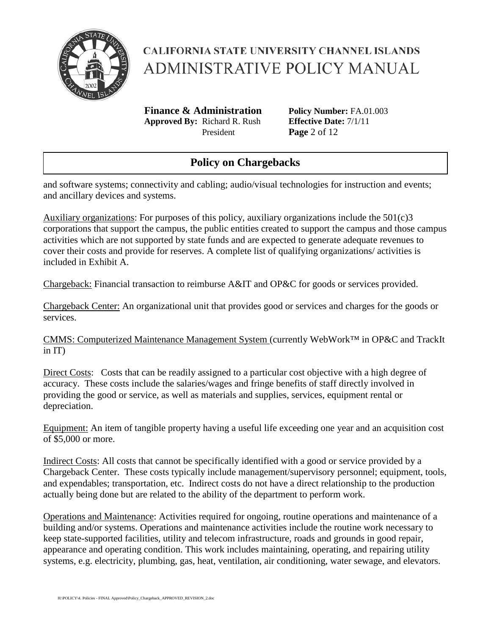

**Finance & Administration Policy Number:** FA.01.003 **Approved By:** Richard R. Rush **Effective Date:** 7/1/11 President **Page** 2 of 12

## **Policy on Chargebacks**

and software systems; connectivity and cabling; audio/visual technologies for instruction and events; and ancillary devices and systems.

Auxiliary organizations: For purposes of this policy, auxiliary organizations include the  $501(c)3$ corporations that support the campus, the public entities created to support the campus and those campus activities which are not supported by state funds and are expected to generate adequate revenues to cover their costs and provide for reserves. A complete list of qualifying organizations/ activities is included in Exhibit A.

Chargeback: Financial transaction to reimburse A&IT and OP&C for goods or services provided.

Chargeback Center: An organizational unit that provides good or services and charges for the goods or services.

CMMS: Computerized Maintenance Management System (currently WebWork™ in OP&C and TrackIt in IT)

Direct Costs: Costs that can be readily assigned to a particular cost objective with a high degree of accuracy. These costs include the salaries/wages and fringe benefits of staff directly involved in providing the good or service, as well as materials and supplies, services, equipment rental or depreciation.

Equipment: An item of tangible property having a useful life exceeding one year and an acquisition cost of \$5,000 or more.

Indirect Costs: All costs that cannot be specifically identified with a good or service provided by a Chargeback Center. These costs typically include management/supervisory personnel; equipment, tools, and expendables; transportation, etc. Indirect costs do not have a direct relationship to the production actually being done but are related to the ability of the department to perform work.

Operations and Maintenance: Activities required for ongoing, routine operations and maintenance of a building and/or systems. Operations and maintenance activities include the routine work necessary to keep state-supported facilities, utility and telecom infrastructure, roads and grounds in good repair, appearance and operating condition. This work includes maintaining, operating, and repairing utility systems, e.g. electricity, plumbing, gas, heat, ventilation, air conditioning, water sewage, and elevators.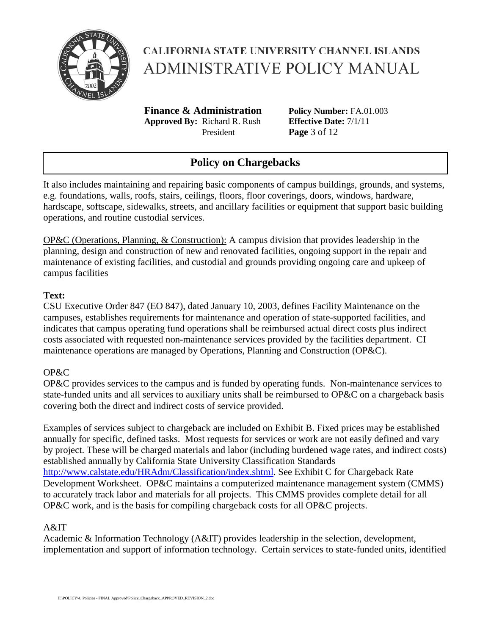

**Finance & Administration Policy Number:** FA.01.003 **Approved By:** Richard R. Rush **Effective Date:** 7/1/11 President **Page** 3 of 12

## **Policy on Chargebacks**

It also includes maintaining and repairing basic components of campus buildings, grounds, and systems, e.g. foundations, walls, roofs, stairs, ceilings, floors, floor coverings, doors, windows, hardware, hardscape, softscape, sidewalks, streets, and ancillary facilities or equipment that support basic building operations, and routine custodial services.

OP&C (Operations, Planning, & Construction): A campus division that provides leadership in the planning, design and construction of new and renovated facilities, ongoing support in the repair and maintenance of existing facilities, and custodial and grounds providing ongoing care and upkeep of campus facilities

### **Text:**

CSU Executive Order 847 (EO 847), dated January 10, 2003, defines Facility Maintenance on the campuses, establishes requirements for maintenance and operation of state-supported facilities, and indicates that campus operating fund operations shall be reimbursed actual direct costs plus indirect costs associated with requested non-maintenance services provided by the facilities department. CI maintenance operations are managed by Operations, Planning and Construction (OP&C).

### OP&C

OP&C provides services to the campus and is funded by operating funds. Non-maintenance services to state-funded units and all services to auxiliary units shall be reimbursed to OP&C on a chargeback basis covering both the direct and indirect costs of service provided.

Examples of services subject to chargeback are included on Exhibit B. Fixed prices may be established annually for specific, defined tasks. Most requests for services or work are not easily defined and vary by project. These will be charged materials and labor (including burdened wage rates, and indirect costs) established annually by California State University Classification Standards [http://www.calstate.edu/HRAdm/Classification/index.shtml.](http://www.calstate.edu/HRAdm/Classification/index.shtml) See Exhibit C for Chargeback Rate Development Worksheet. OP&C maintains a computerized maintenance management system (CMMS) to accurately track labor and materials for all projects. This CMMS provides complete detail for all OP&C work, and is the basis for compiling chargeback costs for all OP&C projects.

#### A&IT

Academic & Information Technology (A&IT) provides leadership in the selection, development, implementation and support of information technology. Certain services to state-funded units, identified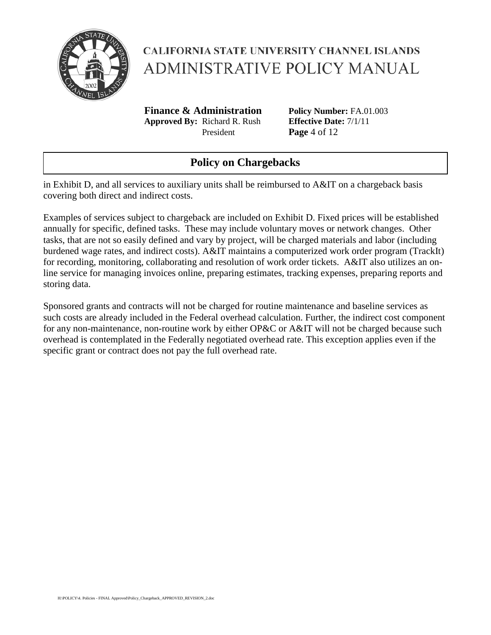

**Finance & Administration Policy Number:** FA.01.003 **Approved By:** Richard R. Rush **Effective Date:** 7/1/11 President **Page** 4 of 12

## **Policy on Chargebacks**

in Exhibit D, and all services to auxiliary units shall be reimbursed to A&IT on a chargeback basis covering both direct and indirect costs.

Examples of services subject to chargeback are included on Exhibit D. Fixed prices will be established annually for specific, defined tasks. These may include voluntary moves or network changes. Other tasks, that are not so easily defined and vary by project, will be charged materials and labor (including burdened wage rates, and indirect costs). A&IT maintains a computerized work order program (TrackIt) for recording, monitoring, collaborating and resolution of work order tickets. A&IT also utilizes an online service for managing invoices online, preparing estimates, tracking expenses, preparing reports and storing data.

Sponsored grants and contracts will not be charged for routine maintenance and baseline services as such costs are already included in the Federal overhead calculation. Further, the indirect cost component for any non-maintenance, non-routine work by either OP&C or A&IT will not be charged because such overhead is contemplated in the Federally negotiated overhead rate. This exception applies even if the specific grant or contract does not pay the full overhead rate.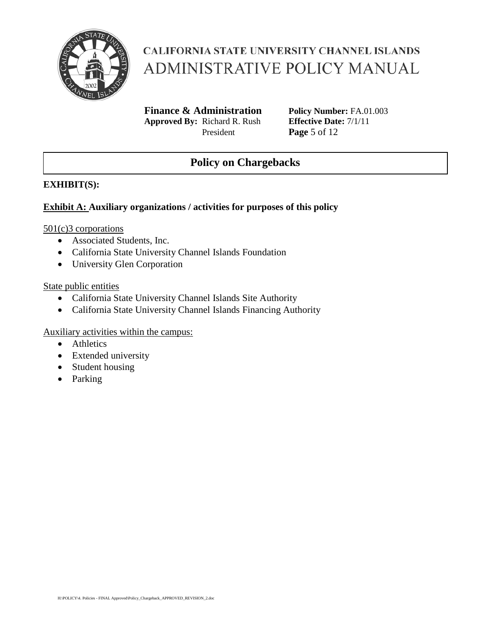

**Finance & Administration Policy Number:** FA.01.003 **Approved By:** Richard R. Rush **Effective Date:** 7/1/11 President **Page** 5 of 12

## **Policy on Chargebacks**

### **EXHIBIT(S):**

### **Exhibit A: Auxiliary organizations / activities for purposes of this policy**

#### 501(c)3 corporations

- Associated Students, Inc.
- California State University Channel Islands Foundation
- University Glen Corporation

#### State public entities

- California State University Channel Islands Site Authority
- California State University Channel Islands Financing Authority

### Auxiliary activities within the campus:

- Athletics
- Extended university
- Student housing
- Parking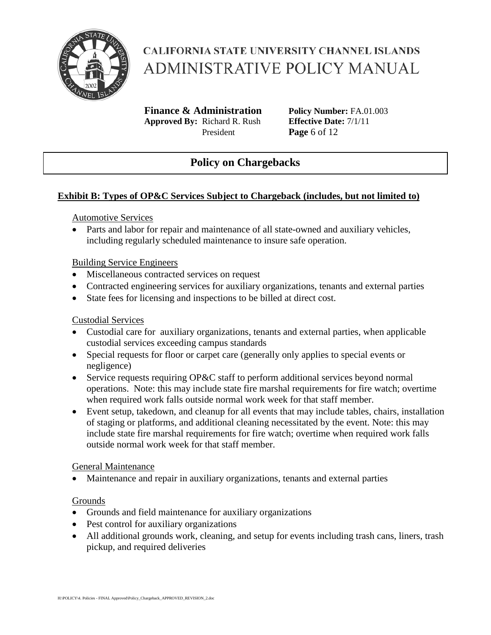

**Finance & Administration Policy Number:** FA.01.003 **Approved By:** Richard R. Rush **Effective Date:** 7/1/11 President **Page** 6 of 12

## **Policy on Chargebacks**

### **Exhibit B: Types of OP&C Services Subject to Chargeback (includes, but not limited to)**

#### Automotive Services

• Parts and labor for repair and maintenance of all state-owned and auxiliary vehicles, including regularly scheduled maintenance to insure safe operation.

### Building Service Engineers

- Miscellaneous contracted services on request
- Contracted engineering services for auxiliary organizations, tenants and external parties
- State fees for licensing and inspections to be billed at direct cost.

#### Custodial Services

- Custodial care for auxiliary organizations, tenants and external parties, when applicable custodial services exceeding campus standards
- Special requests for floor or carpet care (generally only applies to special events or negligence)
- Service requests requiring OP&C staff to perform additional services beyond normal operations. Note: this may include state fire marshal requirements for fire watch; overtime when required work falls outside normal work week for that staff member.
- Event setup, takedown, and cleanup for all events that may include tables, chairs, installation of staging or platforms, and additional cleaning necessitated by the event. Note: this may include state fire marshal requirements for fire watch; overtime when required work falls outside normal work week for that staff member.

#### General Maintenance

• Maintenance and repair in auxiliary organizations, tenants and external parties

### **Grounds**

- Grounds and field maintenance for auxiliary organizations
- Pest control for auxiliary organizations
- All additional grounds work, cleaning, and setup for events including trash cans, liners, trash pickup, and required deliveries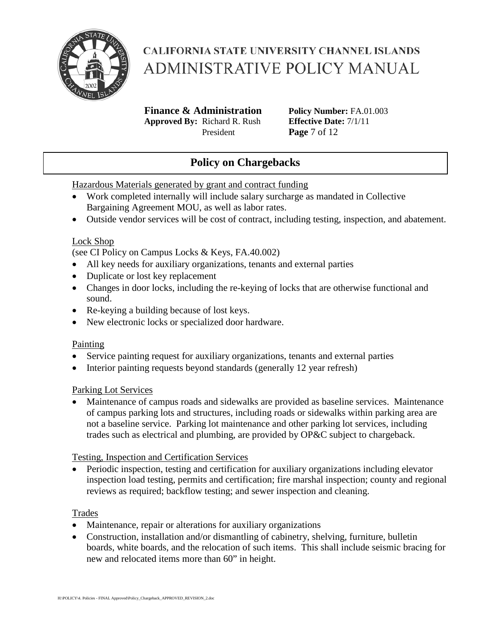

**Finance & Administration Policy Number:** FA.01.003 **Approved By:** Richard R. Rush **Effective Date:** 7/1/11 President **Page** 7 of 12

## **Policy on Chargebacks**

Hazardous Materials generated by grant and contract funding

- Work completed internally will include salary surcharge as mandated in Collective Bargaining Agreement MOU, as well as labor rates.
- Outside vendor services will be cost of contract, including testing, inspection, and abatement.

### Lock Shop

(see CI Policy on Campus Locks & Keys, FA.40.002)

- All key needs for auxiliary organizations, tenants and external parties
- Duplicate or lost key replacement
- Changes in door locks, including the re-keying of locks that are otherwise functional and sound.
- Re-keying a building because of lost keys.
- New electronic locks or specialized door hardware.

### Painting

- Service painting request for auxiliary organizations, tenants and external parties
- Interior painting requests beyond standards (generally 12 year refresh)

### Parking Lot Services

• Maintenance of campus roads and sidewalks are provided as baseline services. Maintenance of campus parking lots and structures, including roads or sidewalks within parking area are not a baseline service. Parking lot maintenance and other parking lot services, including trades such as electrical and plumbing, are provided by OP&C subject to chargeback.

### Testing, Inspection and Certification Services

• Periodic inspection, testing and certification for auxiliary organizations including elevator inspection load testing, permits and certification; fire marshal inspection; county and regional reviews as required; backflow testing; and sewer inspection and cleaning.

### Trades

- Maintenance, repair or alterations for auxiliary organizations
- Construction, installation and/or dismantling of cabinetry, shelving, furniture, bulletin boards, white boards, and the relocation of such items. This shall include seismic bracing for new and relocated items more than 60" in height.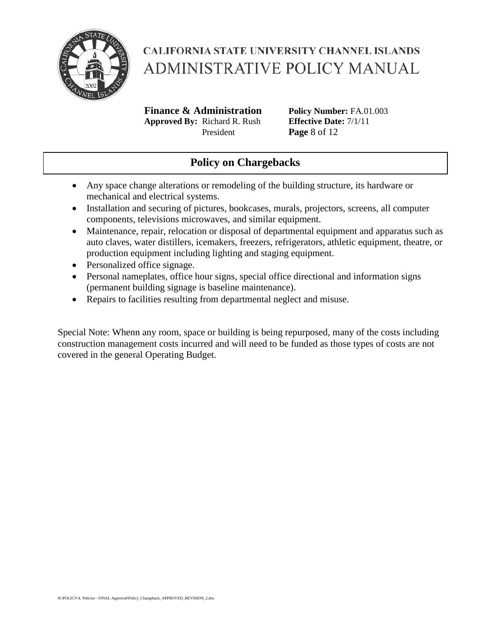

**Finance & Administration Policy Number:** FA.01.003 **Approved By:** Richard R. Rush **Effective Date:** 7/1/11 President **Page** 8 of 12

## **Policy on Chargebacks**

- Any space change alterations or remodeling of the building structure, its hardware or mechanical and electrical systems.
- Installation and securing of pictures, bookcases, murals, projectors, screens, all computer components, televisions microwaves, and similar equipment.
- Maintenance, repair, relocation or disposal of departmental equipment and apparatus such as auto claves, water distillers, icemakers, freezers, refrigerators, athletic equipment, theatre, or production equipment including lighting and staging equipment.
- Personalized office signage.
- Personal nameplates, office hour signs, special office directional and information signs (permanent building signage is baseline maintenance).
- Repairs to facilities resulting from departmental neglect and misuse.

Special Note: Whenn any room, space or building is being repurposed, many of the costs including construction management costs incurred and will need to be funded as those types of costs are not covered in the general Operating Budget.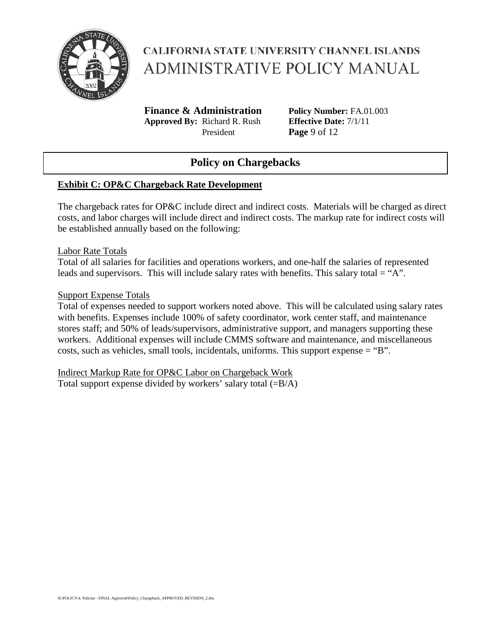

**Finance & Administration Policy Number:** FA.01.003 **Approved By:** Richard R. Rush **Effective Date:** 7/1/11 President **Page** 9 of 12

## **Policy on Chargebacks**

### **Exhibit C: OP&C Chargeback Rate Development**

The chargeback rates for OP&C include direct and indirect costs. Materials will be charged as direct costs, and labor charges will include direct and indirect costs. The markup rate for indirect costs will be established annually based on the following:

#### Labor Rate Totals

Total of all salaries for facilities and operations workers, and one-half the salaries of represented leads and supervisors. This will include salary rates with benefits. This salary total  $=$  "A".

#### Support Expense Totals

Total of expenses needed to support workers noted above. This will be calculated using salary rates with benefits. Expenses include 100% of safety coordinator, work center staff, and maintenance stores staff; and 50% of leads/supervisors, administrative support, and managers supporting these workers. Additional expenses will include CMMS software and maintenance, and miscellaneous costs, such as vehicles, small tools, incidentals, uniforms. This support expense = "B".

Indirect Markup Rate for OP&C Labor on Chargeback Work Total support expense divided by workers' salary total  $(=B/A)$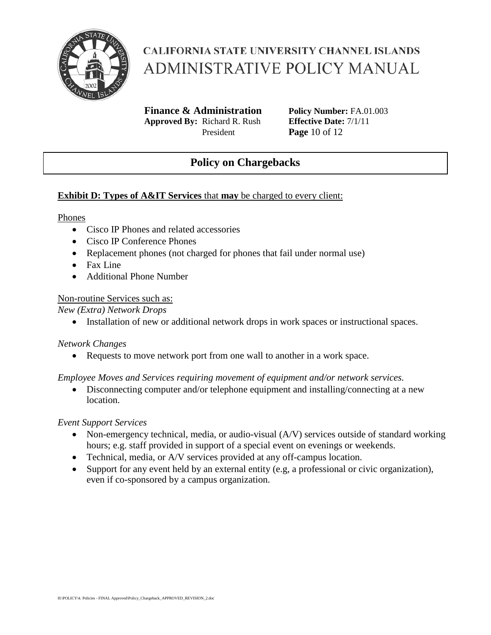

**Finance & Administration Policy Number:** FA.01.003 **Approved By:** Richard R. Rush **Effective Date:** 7/1/11 President **Page** 10 of 12

## **Policy on Chargebacks**

### **Exhibit D: Types of A&IT Services that may be charged to every client:**

#### Phones

- Cisco IP Phones and related accessories
- Cisco IP Conference Phones
- Replacement phones (not charged for phones that fail under normal use)
- Fax Line
- Additional Phone Number

### Non-routine Services such as:

*New (Extra) Network Drops*

• Installation of new or additional network drops in work spaces or instructional spaces.

### *Network Changes*

• Requests to move network port from one wall to another in a work space.

### *Employee Moves and Services requiring movement of equipment and/or network services.*

• Disconnecting computer and/or telephone equipment and installing/connecting at a new location.

### *Event Support Services*

- Non-emergency technical, media, or audio-visual (A/V) services outside of standard working hours; e.g. staff provided in support of a special event on evenings or weekends.
- Technical, media, or A/V services provided at any off-campus location.
- Support for any event held by an external entity (e.g. a professional or civic organization), even if co-sponsored by a campus organization.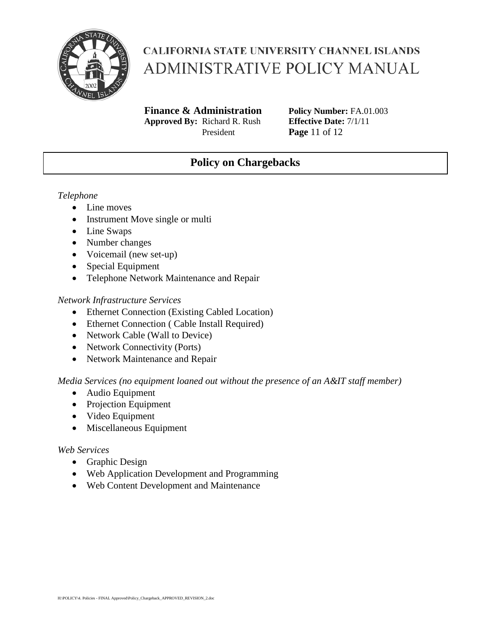

**Finance & Administration Policy Number:** FA.01.003 **Approved By:** Richard R. Rush **Effective Date:** 7/1/11 President **Page** 11 of 12

## **Policy on Chargebacks**

### *Telephone*

- Line moves
- Instrument Move single or multi
- Line Swaps
- Number changes
- Voicemail (new set-up)
- Special Equipment
- Telephone Network Maintenance and Repair

### *Network Infrastructure Services*

- Ethernet Connection (Existing Cabled Location)
- Ethernet Connection ( Cable Install Required)
- Network Cable (Wall to Device)
- Network Connectivity (Ports)
- Network Maintenance and Repair

### *Media Services (no equipment loaned out without the presence of an A&IT staff member)*

- Audio Equipment
- Projection Equipment
- Video Equipment
- Miscellaneous Equipment

### *Web Services*

- Graphic Design
- Web Application Development and Programming
- Web Content Development and Maintenance